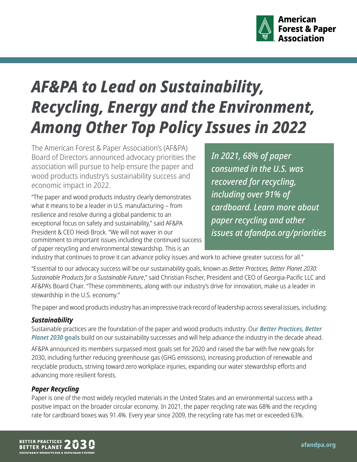

# *AF&PA to Lead on Sustainability, Recycling, Energy and the Environment, Among Other Top Policy Issues in 2022*

The American Forest & Paper Association's (AF&PA) Board of Directors announced advocacy priorities the association will pursue to help ensure the paper and wood products industry's sustainability success and economic impact in 2022.

"The paper and wood products industry clearly demonstrates what it means to be a leader in U.S. manufacturing – from resilience and resolve during a global pandemic to an exceptional focus on safety and sustainability," said AF&PA President & CEO Heidi Brock. "We will not waver in our commitment to important issues including the continued success of paper recycling and environmental stewardship. This is an

*In 2021, 68% of paper consumed in the U.S. was recovered for recycling, including over 91% of cardboard. Learn more about paper recycling and other issues at [afandpa.org/priorities](https://afandpa.org/priorities)*

industry that continues to prove it can advance policy issues and work to achieve greater success for all."

"Essential to our advocacy success will be our sustainability goals, known as *Better Practices, Better Planet 2030: Sustainable Products for a Sustainable Future*," said Christian Fischer, President and CEO of Georgia-Pacific LLC and AF&PA's Board Chair. "These commitments, along with our industry's drive for innovation, make us a leader in stewardship in the U.S. economy."

The paper and wood products industry has an impressive track record of leadership across several issues, including:

## *Sustainability*

Sustainable practices are the foundation of the paper and wood products industry. Our *[Better Practices, Better](https://afandpa.org/2030)  [Planet 2030](https://afandpa.org/2030)* **goals** build on our sustainability successes and will help advance the industry in the decade ahead.

AF&PA [announced](https://www.afandpa.org/sites/default/files/2022-02/BPBP2020SustainabilityGoalsAchievementsSumary-2-2-22.pdf) its members surpassed most goals set for 2020 and raised the bar with five new goals for 2030, including further reducing greenhouse gas (GHG emissions), increasing production of renewable and recyclable products, striving toward zero workplace injuries, expanding our water stewardship efforts and advancing more resilient forests.

# *Paper Recycling*

Paper is one of the most widely recycled materials in the United States and an environmental success with a positive impact on the broader circular economy. In 2021, the paper recycling rate was 68% and the recycling rate for cardboard boxes was 91.4%. Every year since 2009, the recycling rate has met or exceeded 63%.